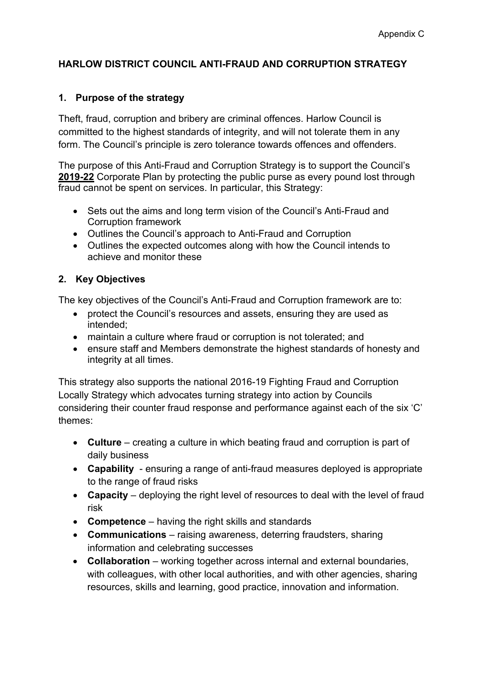# **HARLOW DISTRICT COUNCIL ANTI-FRAUD AND CORRUPTION STRATEGY**

## **1. Purpose of the strategy**

Theft, fraud, corruption and bribery are criminal offences. Harlow Council is committed to the highest standards of integrity, and will not tolerate them in any form. The Council's principle is zero tolerance towards offences and offenders.

The purpose of this Anti-Fraud and Corruption Strategy is to support the Council's **2019-22** Corporate Plan by protecting the public purse as every pound lost through fraud cannot be spent on services. In particular, this Strategy:

- Sets out the aims and long term vision of the Council's Anti-Fraud and Corruption framework
- Outlines the Council's approach to Anti-Fraud and Corruption
- Outlines the expected outcomes along with how the Council intends to achieve and monitor these

## **2. Key Objectives**

The key objectives of the Council's Anti-Fraud and Corruption framework are to:

- protect the Council's resources and assets, ensuring they are used as intended;
- maintain a culture where fraud or corruption is not tolerated; and
- ensure staff and Members demonstrate the highest standards of honesty and integrity at all times.

This strategy also supports the national 2016-19 Fighting Fraud and [Corruption](https://www.gov.uk/government/uploads/system/uploads/attachment_data/file/503657/Fighting_fraud_and_corruption_locally_strategy.pdf) Locally [Strategy](https://www.gov.uk/government/uploads/system/uploads/attachment_data/file/503657/Fighting_fraud_and_corruption_locally_strategy.pdf) which advocates turning strategy into action by Councils considering their counter fraud response and performance against each of the six 'C' themes:

- **Culture** creating a culture in which beating fraud and corruption is part of daily business
- **Capability** ensuring a range of anti-fraud measures deployed is appropriate to the range of fraud risks
- **Capacity** deploying the right level of resources to deal with the level of fraud risk
- **Competence** having the right skills and standards
- **Communications** raising awareness, deterring fraudsters, sharing information and celebrating successes
- **Collaboration** working together across internal and external boundaries, with colleagues, with other local authorities, and with other agencies, sharing resources, skills and learning, good practice, innovation and information.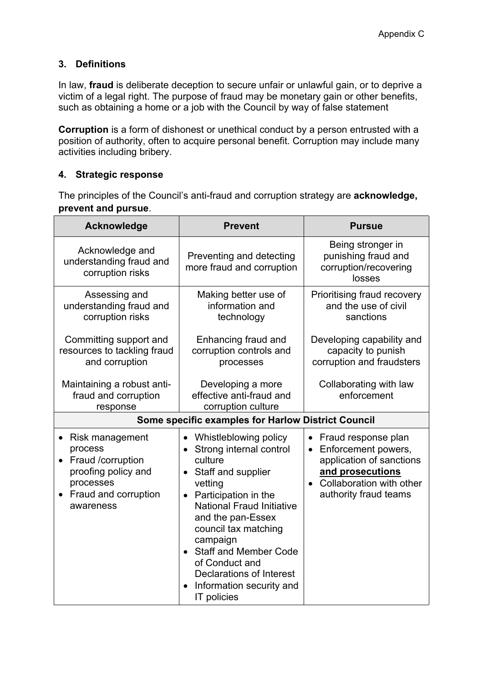# **3. Definitions**

In [law](https://en.wikipedia.org/wiki/Law), **fraud** is [deliberate](https://en.wikipedia.org/wiki/Intent_(law)) [deception](https://en.wikipedia.org/wiki/Deception) to secure unfair or unlawful gain, or to deprive a victim of a legal right. The purpose of fraud may be monetary gain or other benefits, such as obtaining a home or a job with the Council by way of false statement

**Corruption** is a form of [dishonest](https://en.wikipedia.org/wiki/Dishonest) or unethical conduct by a person entrusted with a position of authority, often to acquire personal benefit. Corruption may include many activities including [bribery.](https://en.wikipedia.org/wiki/Bribery)

## **4. Strategic response**

The principles of the Council's anti-fraud and corruption strategy are **acknowledge, prevent and pursue**.

| Acknowledge                                                                                                                                                     | <b>Prevent</b>                                                                                                                                                                                                                                                                                                                                              | <b>Pursue</b>                                                                                                                                   |
|-----------------------------------------------------------------------------------------------------------------------------------------------------------------|-------------------------------------------------------------------------------------------------------------------------------------------------------------------------------------------------------------------------------------------------------------------------------------------------------------------------------------------------------------|-------------------------------------------------------------------------------------------------------------------------------------------------|
| Acknowledge and<br>understanding fraud and<br>corruption risks                                                                                                  | Preventing and detecting<br>more fraud and corruption                                                                                                                                                                                                                                                                                                       | Being stronger in<br>punishing fraud and<br>corruption/recovering<br>losses                                                                     |
| Assessing and<br>understanding fraud and<br>corruption risks                                                                                                    | Making better use of<br>information and<br>technology                                                                                                                                                                                                                                                                                                       | Prioritising fraud recovery<br>and the use of civil<br>sanctions                                                                                |
| Committing support and<br>resources to tackling fraud<br>and corruption                                                                                         | Enhancing fraud and<br>corruption controls and<br>processes                                                                                                                                                                                                                                                                                                 | Developing capability and<br>capacity to punish<br>corruption and fraudsters                                                                    |
| Maintaining a robust anti-<br>fraud and corruption<br>response                                                                                                  | Developing a more<br>effective anti-fraud and<br>corruption culture                                                                                                                                                                                                                                                                                         | Collaborating with law<br>enforcement                                                                                                           |
| Some specific examples for Harlow District Council                                                                                                              |                                                                                                                                                                                                                                                                                                                                                             |                                                                                                                                                 |
| Risk management<br>$\bullet$<br>process<br>Fraud /corruption<br>$\bullet$<br>proofing policy and<br>processes<br>Fraud and corruption<br>$\bullet$<br>awareness | Whistleblowing policy<br>• Strong internal control<br>culture<br>Staff and supplier<br>vetting<br>Participation in the<br>$\bullet$<br><b>National Fraud Initiative</b><br>and the pan-Essex<br>council tax matching<br>campaign<br>• Staff and Member Code<br>of Conduct and<br><b>Declarations of Interest</b><br>Information security and<br>IT policies | Fraud response plan<br>Enforcement powers,<br>application of sanctions<br>and prosecutions<br>Collaboration with other<br>authority fraud teams |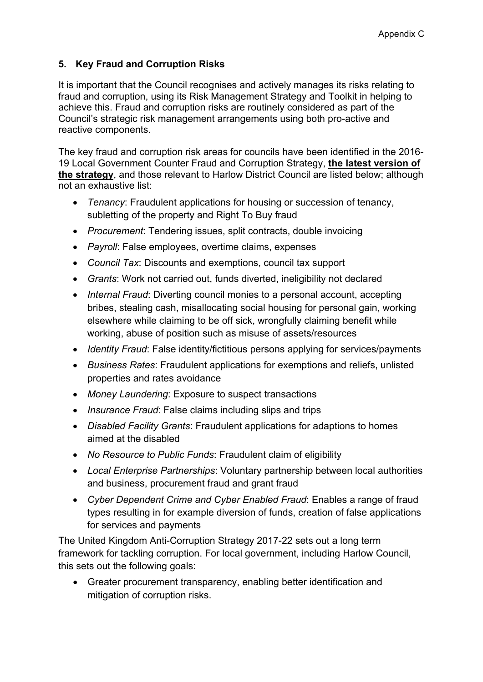# **5. Key Fraud and Corruption Risks**

It is important that the Council recognises and actively manages its risks relating to fraud and corruption, using its Risk Management Strategy and Toolkit in helping to achieve this. Fraud and corruption risks are routinely considered as part of the Council's strategic risk management arrangements using both pro-active and reactive components.

The key fraud and corruption risk areas for councils have been identified in the 2016- 19 Local Government Counter Fraud and Corruption Strategy, **the latest version of the strategy**, and those relevant to Harlow District Council are listed below; although not an exhaustive list:

- *Tenancy*: Fraudulent applications for housing or succession of tenancy, subletting of the property and Right To Buy fraud
- *Procurement*: Tendering issues, split contracts, double invoicing
- *Payroll*: False employees, overtime claims, expenses
- *Council Tax*: Discounts and exemptions, council tax support
- *Grants*: Work not carried out, funds diverted, ineligibility not declared
- *Internal Fraud*: Diverting council monies to a personal account, accepting bribes, stealing cash, misallocating social housing for personal gain, working elsewhere while claiming to be off sick, wrongfully claiming benefit while working, abuse of position such as misuse of assets/resources
- *Identity Fraud*: False identity/fictitious persons applying for services/payments
- *Business Rates*: Fraudulent applications for exemptions and reliefs, unlisted properties and rates avoidance
- *Money Laundering*: Exposure to suspect transactions
- *Insurance Fraud*: False claims including slips and trips
- *Disabled Facility Grants*: Fraudulent applications for adaptions to homes aimed at the disabled
- *No Resource to Public Funds*: Fraudulent claim of eligibility
- *Local Enterprise Partnerships*: Voluntary partnership between local authorities and business, procurement fraud and grant fraud
- *Cyber Dependent Crime and Cyber Enabled Fraud*: Enables a range of fraud types resulting in for example diversion of funds, creation of false applications for services and payments

The United Kingdom Anti-Corruption Strategy 2017-22 sets out a long term framework for tackling corruption. For local government, including Harlow Council, this sets out the following goals:

 Greater procurement transparency, enabling better identification and mitigation of corruption risks.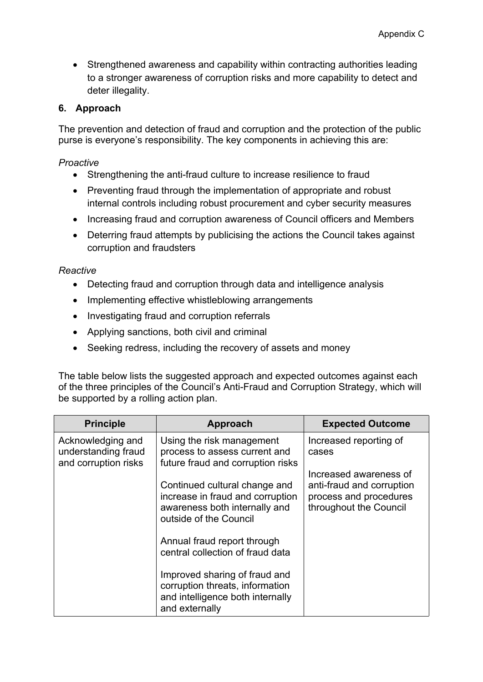• Strengthened awareness and capability within contracting authorities leading to a stronger awareness of corruption risks and more capability to detect and deter illegality.

## **6. Approach**

The prevention and detection of fraud and corruption and the protection of the public purse is everyone's responsibility. The key components in achieving this are:

### *Proactive*

- Strengthening the anti-fraud culture to increase resilience to fraud
- Preventing fraud through the implementation of appropriate and robust internal controls including robust procurement and cyber security measures
- Increasing fraud and corruption awareness of Council officers and Members
- Deterring fraud attempts by publicising the actions the Council takes against corruption and fraudsters

#### *Reactive*

- Detecting fraud and corruption through data and intelligence analysis
- Implementing effective whistleblowing arrangements
- Investigating fraud and corruption referrals
- Applying sanctions, both civil and criminal
- Seeking redress, including the recovery of assets and money

The table below lists the suggested approach and expected outcomes against each of the three principles of the Council's Anti-Fraud and Corruption Strategy, which will be supported by a rolling action plan.

| <b>Principle</b>                                                 | Approach                                                                                                                     | <b>Expected Outcome</b>                                                                                 |
|------------------------------------------------------------------|------------------------------------------------------------------------------------------------------------------------------|---------------------------------------------------------------------------------------------------------|
| Acknowledging and<br>understanding fraud<br>and corruption risks | Using the risk management<br>process to assess current and<br>future fraud and corruption risks                              | Increased reporting of<br>cases                                                                         |
|                                                                  | Continued cultural change and<br>increase in fraud and corruption<br>awareness both internally and<br>outside of the Council | Increased awareness of<br>anti-fraud and corruption<br>process and procedures<br>throughout the Council |
|                                                                  | Annual fraud report through<br>central collection of fraud data                                                              |                                                                                                         |
|                                                                  | Improved sharing of fraud and<br>corruption threats, information<br>and intelligence both internally<br>and externally       |                                                                                                         |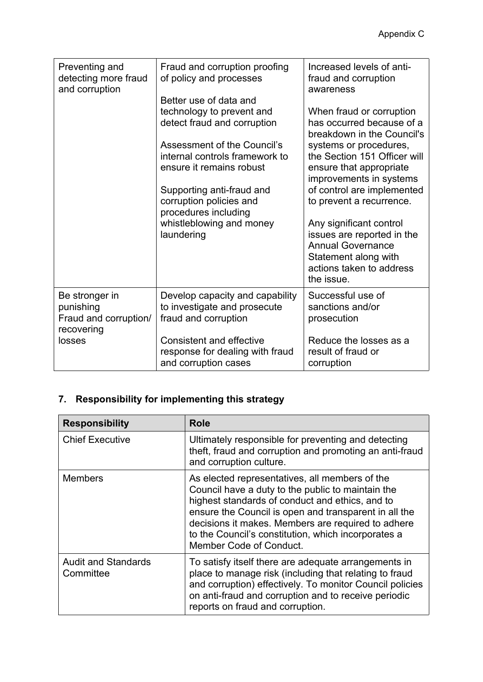| Preventing and<br>detecting more fraud<br>and corruption                     | Fraud and corruption proofing<br>of policy and processes<br>Better use of data and<br>technology to prevent and<br>detect fraud and corruption<br>Assessment of the Council's<br>internal controls framework to<br>ensure it remains robust<br>Supporting anti-fraud and<br>corruption policies and<br>procedures including<br>whistleblowing and money<br>laundering | Increased levels of anti-<br>fraud and corruption<br>awareness<br>When fraud or corruption<br>has occurred because of a<br>breakdown in the Council's<br>systems or procedures,<br>the Section 151 Officer will<br>ensure that appropriate<br>improvements in systems<br>of control are implemented<br>to prevent a recurrence.<br>Any significant control<br>issues are reported in the<br><b>Annual Governance</b><br>Statement along with<br>actions taken to address<br>the issue. |
|------------------------------------------------------------------------------|-----------------------------------------------------------------------------------------------------------------------------------------------------------------------------------------------------------------------------------------------------------------------------------------------------------------------------------------------------------------------|----------------------------------------------------------------------------------------------------------------------------------------------------------------------------------------------------------------------------------------------------------------------------------------------------------------------------------------------------------------------------------------------------------------------------------------------------------------------------------------|
| Be stronger in<br>punishing<br>Fraud and corruption/<br>recovering<br>losses | Develop capacity and capability<br>to investigate and prosecute<br>fraud and corruption<br><b>Consistent and effective</b><br>response for dealing with fraud<br>and corruption cases                                                                                                                                                                                 | Successful use of<br>sanctions and/or<br>prosecution<br>Reduce the losses as a<br>result of fraud or<br>corruption                                                                                                                                                                                                                                                                                                                                                                     |

# **7. Responsibility for implementing this strategy**

| <b>Responsibility</b>                   | <b>Role</b>                                                                                                                                                                                                                                                                                                                                             |
|-----------------------------------------|---------------------------------------------------------------------------------------------------------------------------------------------------------------------------------------------------------------------------------------------------------------------------------------------------------------------------------------------------------|
| <b>Chief Executive</b>                  | Ultimately responsible for preventing and detecting<br>theft, fraud and corruption and promoting an anti-fraud<br>and corruption culture.                                                                                                                                                                                                               |
| <b>Members</b>                          | As elected representatives, all members of the<br>Council have a duty to the public to maintain the<br>highest standards of conduct and ethics, and to<br>ensure the Council is open and transparent in all the<br>decisions it makes. Members are required to adhere<br>to the Council's constitution, which incorporates a<br>Member Code of Conduct. |
| <b>Audit and Standards</b><br>Committee | To satisfy itself there are adequate arrangements in<br>place to manage risk (including that relating to fraud<br>and corruption) effectively. To monitor Council policies<br>on anti-fraud and corruption and to receive periodic<br>reports on fraud and corruption.                                                                                  |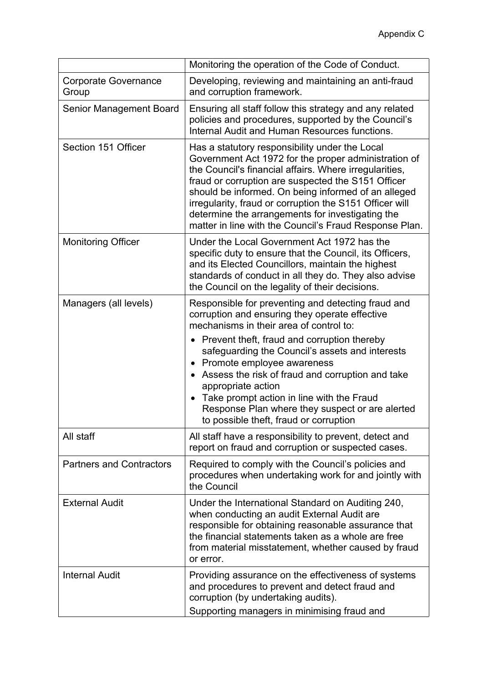|                                      | Monitoring the operation of the Code of Conduct.                                                                                                                                                                                                                                                                                                                                                                                                       |
|--------------------------------------|--------------------------------------------------------------------------------------------------------------------------------------------------------------------------------------------------------------------------------------------------------------------------------------------------------------------------------------------------------------------------------------------------------------------------------------------------------|
| <b>Corporate Governance</b><br>Group | Developing, reviewing and maintaining an anti-fraud<br>and corruption framework.                                                                                                                                                                                                                                                                                                                                                                       |
| Senior Management Board              | Ensuring all staff follow this strategy and any related<br>policies and procedures, supported by the Council's<br>Internal Audit and Human Resources functions.                                                                                                                                                                                                                                                                                        |
| Section 151 Officer                  | Has a statutory responsibility under the Local<br>Government Act 1972 for the proper administration of<br>the Council's financial affairs. Where irregularities,<br>fraud or corruption are suspected the S151 Officer<br>should be informed. On being informed of an alleged<br>irregularity, fraud or corruption the S151 Officer will<br>determine the arrangements for investigating the<br>matter in line with the Council's Fraud Response Plan. |
| <b>Monitoring Officer</b>            | Under the Local Government Act 1972 has the<br>specific duty to ensure that the Council, its Officers,<br>and its Elected Councillors, maintain the highest<br>standards of conduct in all they do. They also advise<br>the Council on the legality of their decisions.                                                                                                                                                                                |
| Managers (all levels)                | Responsible for preventing and detecting fraud and<br>corruption and ensuring they operate effective<br>mechanisms in their area of control to:                                                                                                                                                                                                                                                                                                        |
|                                      | Prevent theft, fraud and corruption thereby<br>safeguarding the Council's assets and interests<br>Promote employee awareness<br>Assess the risk of fraud and corruption and take<br>appropriate action<br>Take prompt action in line with the Fraud<br>Response Plan where they suspect or are alerted<br>to possible theft, fraud or corruption                                                                                                       |
| All staff                            | All staff have a responsibility to prevent, detect and<br>report on fraud and corruption or suspected cases.                                                                                                                                                                                                                                                                                                                                           |
| <b>Partners and Contractors</b>      | Required to comply with the Council's policies and<br>procedures when undertaking work for and jointly with<br>the Council                                                                                                                                                                                                                                                                                                                             |
| <b>External Audit</b>                | Under the International Standard on Auditing 240,<br>when conducting an audit External Audit are<br>responsible for obtaining reasonable assurance that<br>the financial statements taken as a whole are free<br>from material misstatement, whether caused by fraud<br>or error.                                                                                                                                                                      |
| <b>Internal Audit</b>                | Providing assurance on the effectiveness of systems<br>and procedures to prevent and detect fraud and<br>corruption (by undertaking audits).<br>Supporting managers in minimising fraud and                                                                                                                                                                                                                                                            |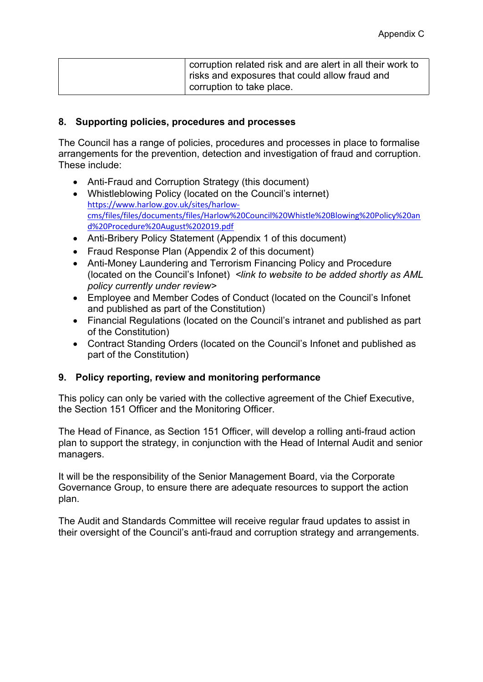| corruption related risk and are alert in all their work to<br>risks and exposures that could allow fraud and |
|--------------------------------------------------------------------------------------------------------------|
| corruption to take place.                                                                                    |

#### **8. Supporting policies, procedures and processes**

The Council has a range of policies, procedures and processes in place to formalise arrangements for the prevention, detection and investigation of fraud and corruption. These include:

- Anti-Fraud and Corruption Strategy (this document)
- Whistleblowing Policy (located on the Council's internet) [https://www.harlow.gov.uk/sites/harlow](https://www.harlow.gov.uk/sites/harlow-cms/files/files/documents/files/Harlow%20Council%20Whistle%20Blowing%20Policy%20and%20Procedure%20August%202019.pdf)[cms/files/files/documents/files/Harlow%20Council%20Whistle%20Blowing%20Policy%20an](https://www.harlow.gov.uk/sites/harlow-cms/files/files/documents/files/Harlow%20Council%20Whistle%20Blowing%20Policy%20and%20Procedure%20August%202019.pdf) [d%20Procedure%20August%202019.pdf](https://www.harlow.gov.uk/sites/harlow-cms/files/files/documents/files/Harlow%20Council%20Whistle%20Blowing%20Policy%20and%20Procedure%20August%202019.pdf)
- Anti-Bribery Policy Statement (Appendix 1 of this document)
- Fraud Response Plan (Appendix 2 of this document)
- Anti-Money Laundering and Terrorism Financing Policy and Procedure (located on the Council's Infonet) *<link to website to be added shortly as AML policy currently under review>*
- Employee and Member Codes of Conduct (located on the Council's Infonet and published as part of the Constitution)
- Financial Regulations (located on the Council's intranet and published as part of the Constitution)
- Contract Standing Orders (located on the Council's Infonet and published as part of the Constitution)

#### **9. Policy reporting, review and monitoring performance**

This policy can only be varied with the collective agreement of the Chief Executive, the Section 151 Officer and the Monitoring Officer.

The Head of Finance, as Section 151 Officer, will develop a rolling anti-fraud action plan to support the strategy, in conjunction with the Head of Internal Audit and senior managers.

It will be the responsibility of the Senior Management Board, via the Corporate Governance Group, to ensure there are adequate resources to support the action plan.

The Audit and Standards Committee will receive regular fraud updates to assist in their oversight of the Council's anti-fraud and corruption strategy and arrangements.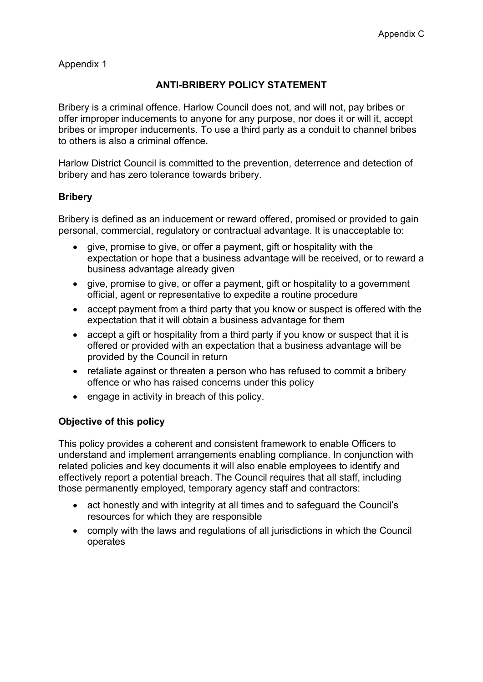Appendix 1

# **ANTI-BRIBERY POLICY STATEMENT**

Bribery is a criminal offence. Harlow Council does not, and will not, pay bribes or offer improper inducements to anyone for any purpose, nor does it or will it, accept bribes or improper inducements. To use a third party as a conduit to channel bribes to others is also a criminal offence.

Harlow District Council is committed to the prevention, deterrence and detection of bribery and has zero tolerance towards bribery.

## **Bribery**

Bribery is defined as an inducement or reward offered, promised or provided to gain personal, commercial, regulatory or contractual advantage. It is unacceptable to:

- give, promise to give, or offer a payment, gift or hospitality with the expectation or hope that a business advantage will be received, or to reward a business advantage already given
- give, promise to give, or offer a payment, gift or hospitality to a government official, agent or representative to expedite a routine procedure
- accept payment from a third party that you know or suspect is offered with the expectation that it will obtain a business advantage for them
- accept a gift or hospitality from a third party if you know or suspect that it is offered or provided with an expectation that a business advantage will be provided by the Council in return
- retaliate against or threaten a person who has refused to commit a bribery offence or who has raised concerns under this policy
- engage in activity in breach of this policy.

## **Objective of this policy**

This policy provides a coherent and consistent framework to enable Officers to understand and implement arrangements enabling compliance. In conjunction with related policies and key documents it will also enable employees to identify and effectively report a potential breach. The Council requires that all staff, including those permanently employed, temporary agency staff and contractors:

- act honestly and with integrity at all times and to safeguard the Council's resources for which they are responsible
- comply with the laws and regulations of all jurisdictions in which the Council operates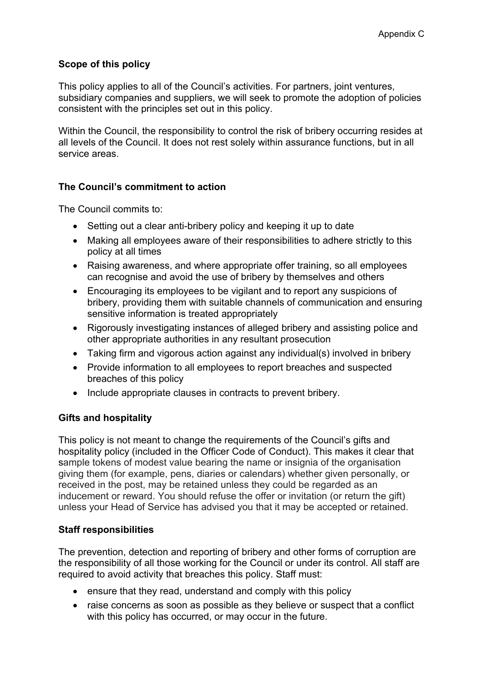## **Scope of this policy**

This policy applies to all of the Council's activities. For partners, joint ventures, subsidiary companies and suppliers, we will seek to promote the adoption of policies consistent with the principles set out in this policy.

Within the Council, the responsibility to control the risk of bribery occurring resides at all levels of the Council. It does not rest solely within assurance functions, but in all service areas.

## **The Council's commitment to action**

The Council commits to:

- Setting out a clear anti-bribery policy and keeping it up to date
- Making all employees aware of their responsibilities to adhere strictly to this policy at all times
- Raising awareness, and where appropriate offer training, so all employees can recognise and avoid the use of bribery by themselves and others
- Encouraging its employees to be vigilant and to report any suspicions of bribery, providing them with suitable channels of communication and ensuring sensitive information is treated appropriately
- Rigorously investigating instances of alleged bribery and assisting police and other appropriate authorities in any resultant prosecution
- Taking firm and vigorous action against any individual(s) involved in bribery
- Provide information to all employees to report breaches and suspected breaches of this policy
- Include appropriate clauses in contracts to prevent bribery.

#### **Gifts and hospitality**

This policy is not meant to change the requirements of the Council's gifts and hospitality policy (included in the Officer Code of Conduct). This makes it clear that sample tokens of modest value bearing the name or insignia of the organisation giving them (for example, pens, diaries or calendars) whether given personally, or received in the post, may be retained unless they could be regarded as an inducement or reward. You should refuse the offer or invitation (or return the gift) unless your Head of Service has advised you that it may be accepted or retained.

#### **Staff responsibilities**

The prevention, detection and reporting of bribery and other forms of corruption are the responsibility of all those working for the Council or under its control. All staff are required to avoid activity that breaches this policy. Staff must:

- ensure that they read, understand and comply with this policy
- raise concerns as soon as possible as they believe or suspect that a conflict with this policy has occurred, or may occur in the future.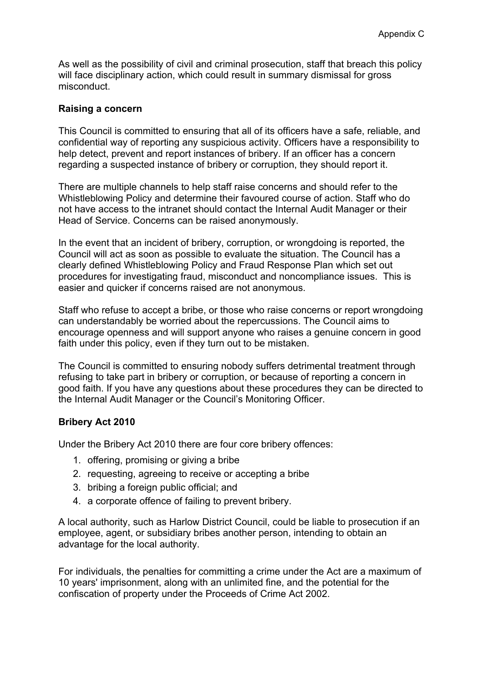As well as the possibility of civil and criminal prosecution, staff that breach this policy will face disciplinary action, which could result in summary dismissal for gross misconduct.

#### **Raising a concern**

This Council is committed to ensuring that all of its officers have a safe, reliable, and confidential way of reporting any suspicious activity. Officers have a responsibility to help detect, prevent and report instances of bribery. If an officer has a concern regarding a suspected instance of bribery or corruption, they should report it.

There are multiple channels to help staff raise concerns and should refer to the Whistleblowing Policy and determine their favoured course of action. Staff who do not have access to the intranet should contact the Internal Audit Manager or their Head of Service. Concerns can be raised anonymously.

In the event that an incident of bribery, corruption, or wrongdoing is reported, the Council will act as soon as possible to evaluate the situation. The Council has a clearly defined Whistleblowing Policy and Fraud Response Plan which set out procedures for investigating fraud, misconduct and noncompliance issues. This is easier and quicker if concerns raised are not anonymous.

Staff who refuse to accept a bribe, or those who raise concerns or report wrongdoing can understandably be worried about the repercussions. The Council aims to encourage openness and will support anyone who raises a genuine concern in good faith under this policy, even if they turn out to be mistaken.

The Council is committed to ensuring nobody suffers detrimental treatment through refusing to take part in bribery or corruption, or because of reporting a concern in good faith. If you have any questions about these procedures they can be directed to the Internal Audit Manager or the Council's Monitoring Officer.

#### **Bribery Act 2010**

Under the Bribery Act 2010 there are four core bribery offences:

- 1. offering, promising or giving a bribe
- 2. requesting, agreeing to receive or accepting a bribe
- 3. bribing a foreign public official; and
- 4. a corporate offence of failing to prevent bribery.

A local authority, such as Harlow District Council, could be liable to prosecution if an employee, agent, or subsidiary bribes another person, intending to obtain an advantage for the local authority.

For individuals, the penalties for committing a crime under the Act are a maximum of 10 years' imprisonment, along with an unlimited fine, and the potential for the confiscation of property under the [Proceeds](https://en.wikipedia.org/wiki/Proceeds_of_Crime_Act_2002) of Crime Act 2002.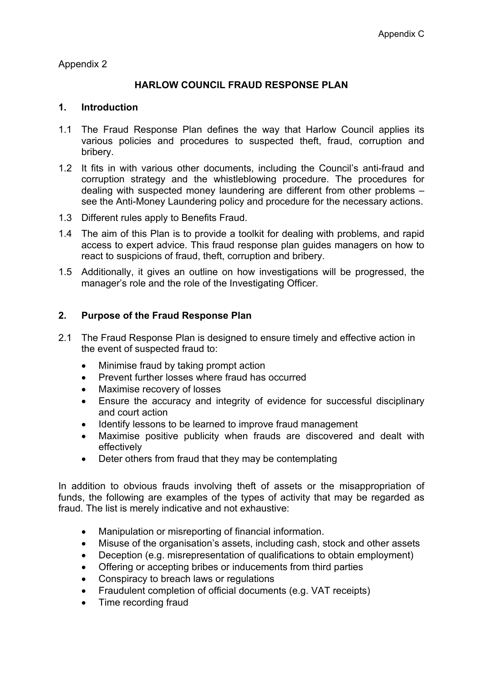Appendix 2

## **HARLOW COUNCIL FRAUD RESPONSE PLAN**

#### **1. Introduction**

- 1.1 The Fraud Response Plan defines the way that Harlow Council applies its various policies and procedures to suspected theft, fraud, corruption and bribery.
- 1.2 It fits in with various other documents, including the Council's anti-fraud and corruption strategy and the whistleblowing procedure. The procedures for dealing with suspected money laundering are different from other problems – see the Anti-Money Laundering policy and procedure for the necessary actions.
- 1.3 Different rules apply to Benefits Fraud.
- 1.4 The aim of this Plan is to provide a toolkit for dealing with problems, and rapid access to expert advice. This fraud response plan guides managers on how to react to suspicions of fraud, theft, corruption and bribery.
- 1.5 Additionally, it gives an outline on how investigations will be progressed, the manager's role and the role of the Investigating Officer.

#### **2. Purpose of the Fraud Response Plan**

- 2.1 The Fraud Response Plan is designed to ensure timely and effective action in the event of suspected fraud to:
	- Minimise fraud by taking prompt action
	- Prevent further losses where fraud has occurred
	- Maximise recovery of losses
	- Ensure the accuracy and integrity of evidence for successful disciplinary and court action
	- Identify lessons to be learned to improve fraud management
	- Maximise positive publicity when frauds are discovered and dealt with effectively
	- Deter others from fraud that they may be contemplating

In addition to obvious frauds involving theft of assets or the misappropriation of funds, the following are examples of the types of activity that may be regarded as fraud. The list is merely indicative and not exhaustive:

- Manipulation or misreporting of financial information.
- Misuse of the organisation's assets, including cash, stock and other assets
- Deception (e.g. misrepresentation of qualifications to obtain employment)
- Offering or accepting bribes or inducements from third parties
- Conspiracy to breach laws or regulations
- Fraudulent completion of official documents (e.g. VAT receipts)
- Time recording fraud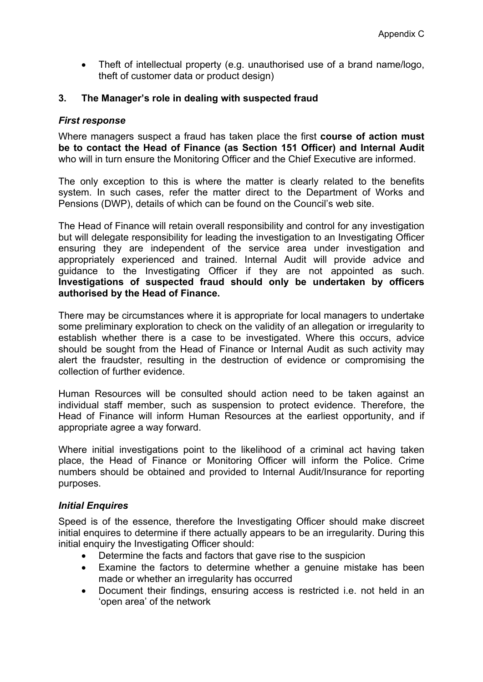Theft of intellectual property (e.g. unauthorised use of a brand name/logo, theft of customer data or product design)

#### **3. The Manager's role in dealing with suspected fraud**

#### *First response*

Where managers suspect a fraud has taken place the first **course of action must be to contact the Head of Finance (as Section 151 Officer) and Internal Audit** who will in turn ensure the Monitoring Officer and the Chief Executive are informed.

The only exception to this is where the matter is clearly related to the benefits system. In such cases, refer the matter direct to the Department of Works and Pensions (DWP), details of which can be found on the Council's web site.

The Head of Finance will retain overall responsibility and control for any investigation but will delegate responsibility for leading the investigation to an Investigating Officer ensuring they are independent of the service area under investigation and appropriately experienced and trained. Internal Audit will provide advice and guidance to the Investigating Officer if they are not appointed as such. **Investigations of suspected fraud should only be undertaken by officers authorised by the Head of Finance.**

There may be circumstances where it is appropriate for local managers to undertake some preliminary exploration to check on the validity of an allegation or irregularity to establish whether there is a case to be investigated. Where this occurs, advice should be sought from the Head of Finance or Internal Audit as such activity may alert the fraudster, resulting in the destruction of evidence or compromising the collection of further evidence.

Human Resources will be consulted should action need to be taken against an individual staff member, such as suspension to protect evidence. Therefore, the Head of Finance will inform Human Resources at the earliest opportunity, and if appropriate agree a way forward.

Where initial investigations point to the likelihood of a criminal act having taken place, the Head of Finance or Monitoring Officer will inform the Police. Crime numbers should be obtained and provided to Internal Audit/Insurance for reporting purposes.

#### *Initial Enquires*

Speed is of the essence, therefore the Investigating Officer should make discreet initial enquires to determine if there actually appears to be an irregularity. During this initial enquiry the Investigating Officer should:

- Determine the facts and factors that gave rise to the suspicion
- Examine the factors to determine whether a genuine mistake has been made or whether an irregularity has occurred
- Document their findings, ensuring access is restricted i.e. not held in an 'open area' of the network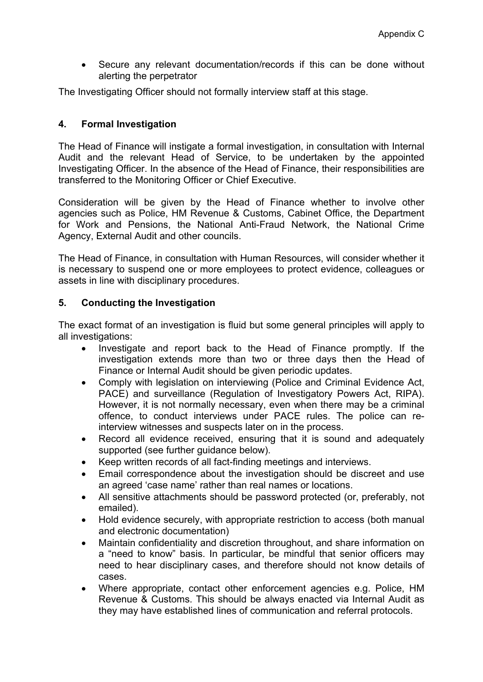Secure any relevant documentation/records if this can be done without alerting the perpetrator

The Investigating Officer should not formally interview staff at this stage.

# **4. Formal Investigation**

The Head of Finance will instigate a formal investigation, in consultation with Internal Audit and the relevant Head of Service, to be undertaken by the appointed Investigating Officer. In the absence of the Head of Finance, their responsibilities are transferred to the Monitoring Officer or Chief Executive.

Consideration will be given by the Head of Finance whether to involve other agencies such as Police, HM Revenue & Customs, Cabinet Office, the Department for Work and Pensions, the National Anti-Fraud Network, the National Crime Agency, External Audit and other councils.

The Head of Finance, in consultation with Human Resources, will consider whether it is necessary to suspend one or more employees to protect evidence, colleagues or assets in line with disciplinary procedures.

## **5. Conducting the Investigation**

The exact format of an investigation is fluid but some general principles will apply to all investigations:

- Investigate and report back to the Head of Finance promptly. If the investigation extends more than two or three days then the Head of Finance or Internal Audit should be given periodic updates.
- Comply with legislation on interviewing (Police and Criminal Evidence Act, PACE) and surveillance (Regulation of Investigatory Powers Act, RIPA). However, it is not normally necessary, even when there may be a criminal offence, to conduct interviews under PACE rules. The police can reinterview witnesses and suspects later on in the process.
- Record all evidence received, ensuring that it is sound and adequately supported (see further guidance below).
- Keep written records of all fact-finding meetings and interviews.
- Email correspondence about the investigation should be discreet and use an agreed 'case name' rather than real names or locations.
- All sensitive attachments should be password protected (or, preferably, not emailed).
- Hold evidence securely, with appropriate restriction to access (both manual and electronic documentation)
- Maintain confidentiality and discretion throughout, and share information on a "need to know" basis. In particular, be mindful that senior officers may need to hear disciplinary cases, and therefore should not know details of cases.
- Where appropriate, contact other enforcement agencies e.g. Police, HM Revenue & Customs. This should be always enacted via Internal Audit as they may have established lines of communication and referral protocols.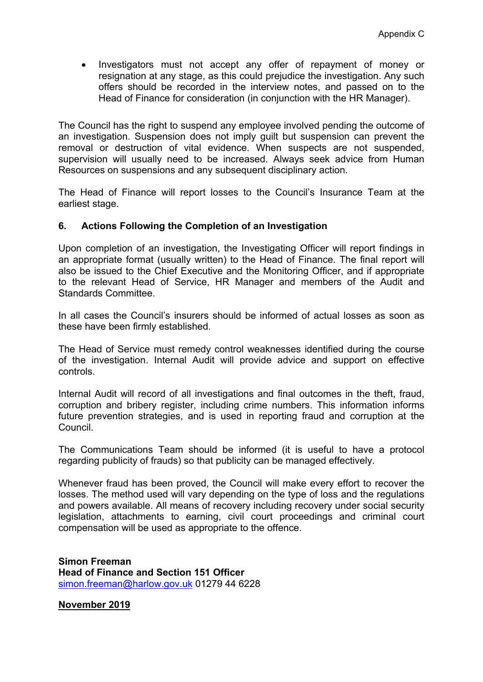Investigators must not accept any offer of repayment of money or resignation at any stage, as this could prejudice the investigation. Any such offers should be recorded in the interview notes, and passed on to the Head of Finance for consideration (in conjunction with the HR Manager).

The Council has the right to suspend any employee involved pending the outcome of an investigation. Suspension does not imply guilt but suspension can prevent the removal or destruction of vital evidence. When suspects are not suspended, supervision will usually need to be increased. Always seek advice from Human Resources on suspensions and any subsequent disciplinary action.

The Head of Finance will report losses to the Council's Insurance Team at the earliest stage.

#### **6. Actions Following the Completion of an Investigation**

Upon completion of an investigation, the Investigating Officer will report findings in an appropriate format (usually written) to the Head of Finance. The final report will also be issued to the Chief Executive and the Monitoring Officer, and if appropriate to the relevant Head of Service, HR Manager and members of the Audit and Standards Committee.

In all cases the Council's insurers should be informed of actual losses as soon as these have been firmly established.

The Head of Service must remedy control weaknesses identified during the course of the investigation. Internal Audit will provide advice and support on effective controls.

Internal Audit will record of all investigations and final outcomes in the theft, fraud, corruption and bribery register, including crime numbers. This information informs future prevention strategies, and is used in reporting fraud and corruption at the Council.

The Communications Team should be informed (it is useful to have a protocol regarding publicity of frauds) so that publicity can be managed effectively.

Whenever fraud has been proved, the Council will make every effort to recover the losses. The method used will vary depending on the type of loss and the regulations and powers available. All means of recovery including recovery under social security legislation, attachments to earning, civil court proceedings and criminal court compensation will be used as appropriate to the offence.

**Simon Freeman Head of Finance and Section 151 Officer** [simon.freeman@harlow.gov.uk](mailto:simon.freeman@harlow.gov.uk) 01279 44 6228

**November 2019**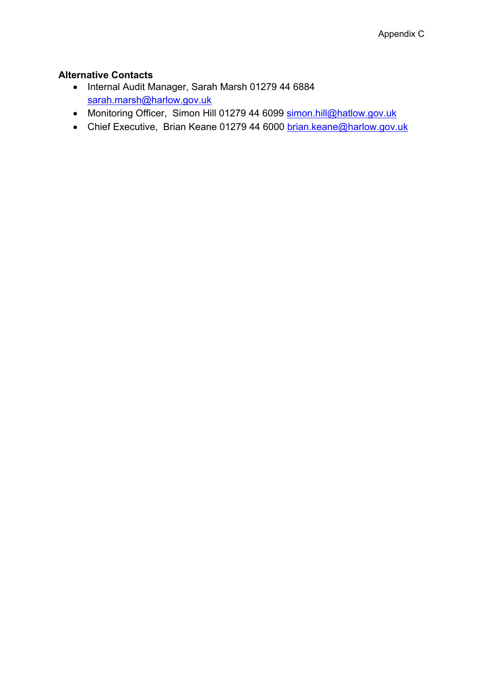## **Alternative Contacts**

- Internal Audit Manager, Sarah Marsh 01279 44 6884 [sarah.marsh@harlow.gov.uk](mailto:sarah.marsh@harlow.gov.uk)
- Monitoring Officer, Simon Hill 01279 44 6099 [simon.hill@hatlow.gov.uk](mailto:simon.hill@hatlow.gov.uk)
- Chief Executive, Brian Keane 01279 44 6000 [brian.keane@harlow.gov.uk](mailto:brian.keane@harlow.gov.uk)